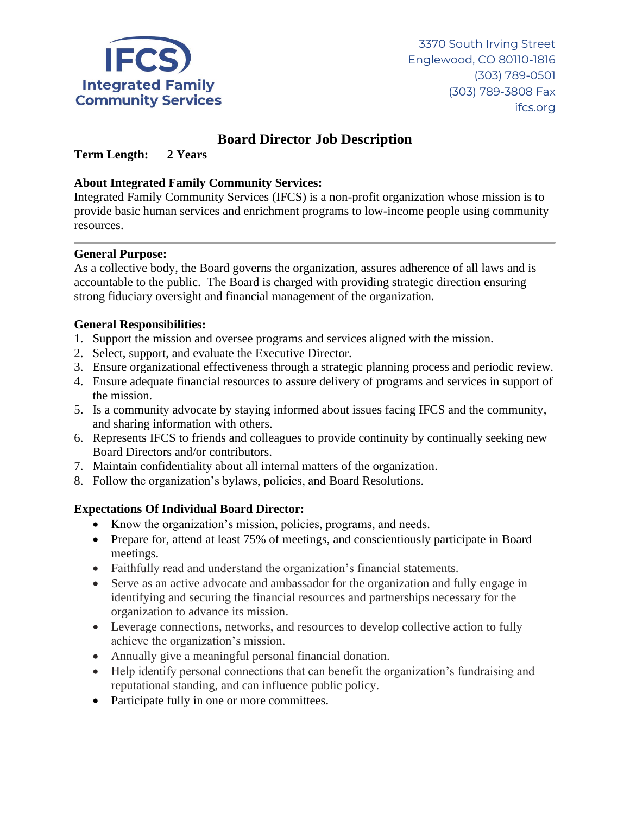

# **Board Director Job Description**

**Term Length: 2 Years**

## **About Integrated Family Community Services:**

Integrated Family Community Services (IFCS) is a non-profit organization whose mission is to provide basic human services and enrichment programs to low-income people using community resources.

### **General Purpose:**

As a collective body, the Board governs the organization, assures adherence of all laws and is accountable to the public. The Board is charged with providing strategic direction ensuring strong fiduciary oversight and financial management of the organization.

### **General Responsibilities:**

- 1. Support the mission and oversee programs and services aligned with the mission.
- 2. Select, support, and evaluate the Executive Director.
- 3. Ensure organizational effectiveness through a strategic planning process and periodic review.
- 4. Ensure adequate financial resources to assure delivery of programs and services in support of the mission.
- 5. Is a community advocate by staying informed about issues facing IFCS and the community, and sharing information with others.
- 6. Represents IFCS to friends and colleagues to provide continuity by continually seeking new Board Directors and/or contributors.
- 7. Maintain confidentiality about all internal matters of the organization.
- 8. Follow the organization's bylaws, policies, and Board Resolutions.

# **Expectations Of Individual Board Director:**

- Know the organization's mission, policies, programs, and needs.
- Prepare for, attend at least 75% of meetings, and conscientiously participate in Board meetings.
- Faithfully read and understand the organization's financial statements.
- Serve as an active advocate and ambassador for the organization and fully engage in identifying and securing the financial resources and partnerships necessary for the organization to advance its mission.
- Leverage connections, networks, and resources to develop collective action to fully achieve the organization's mission.
- Annually give a meaningful personal financial donation.
- Help identify personal connections that can benefit the organization's fundraising and reputational standing, and can influence public policy.
- Participate fully in one or more committees.